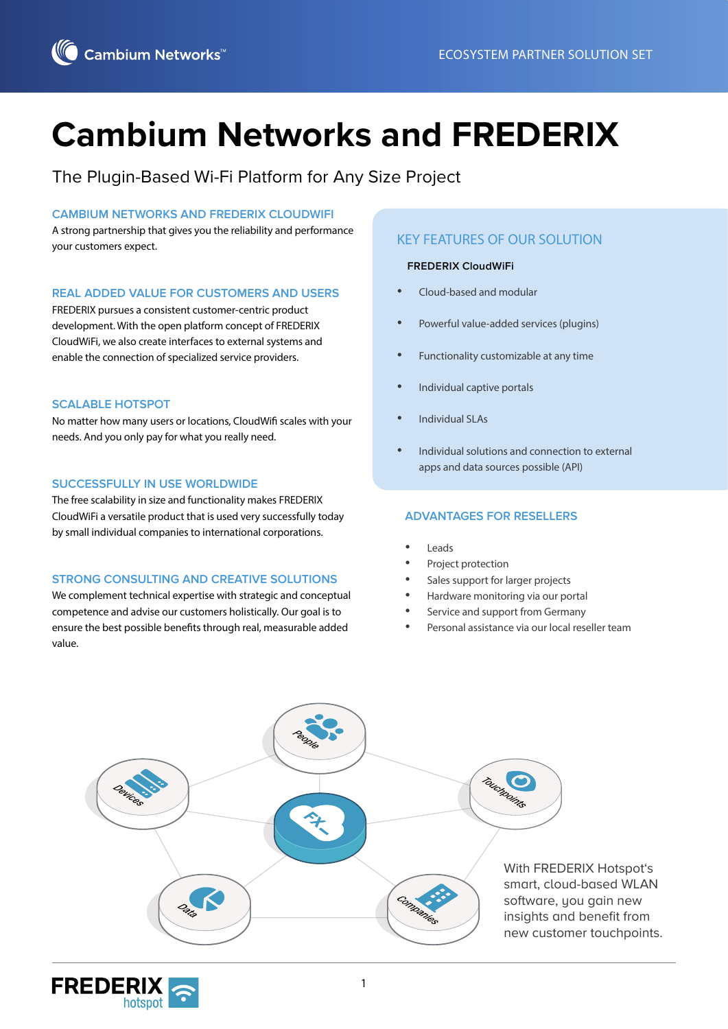# **Cambium Networks and FREDERIX**

The Plugin-Based Wi-Fi Platform for Any Size Project

#### **CAMBIUM NETWORKS AND FREDERIX CLOUDWIFI**

A strong partnership that gives you the reliability and performance your customers expect.

#### **REAL ADDED VALUE FOR CUSTOMERS AND USERS**

FREDERIX pursues a consistent customer-centric product development. With the open platform concept of FREDERIX CloudWiFi, we also create interfaces to external systems and enable the connection of specialized service providers.

#### **SCALABLE HOTSPOT**

No matter how many users or locations, CloudWifi scales with your needs. And you only pay for what you really need.

#### **SUCCESSFULLY IN USE WORLDWIDE**

The free scalability in size and functionality makes FREDERIX CloudWiFi a versatile product that is used very successfully today by small individual companies to international corporations.

#### **STRONG CONSULTING AND CREATIVE SOLUTIONS**

We complement technical expertise with strategic and conceptual competence and advise our customers holistically. Our goal is to ensure the best possible benefits through real, measurable added value.

### KEY FEATURES OF OUR SOLUTION

#### **FREDERIX CloudWiFi**

- Cloud-based and modular
- Powerful value-added services (plugins)
- Functionality customizable at any time
- Individual captive portals
- Individual SLAs
- Individual solutions and connection to external apps and data sources possible (API)

#### **ADVANTAGES FOR RESELLERS**

- Leads
- Project protection
- Sales support for larger projects
- Hardware monitoring via our portal
- Service and support from Germany
- Personal assistance via our local reseller team



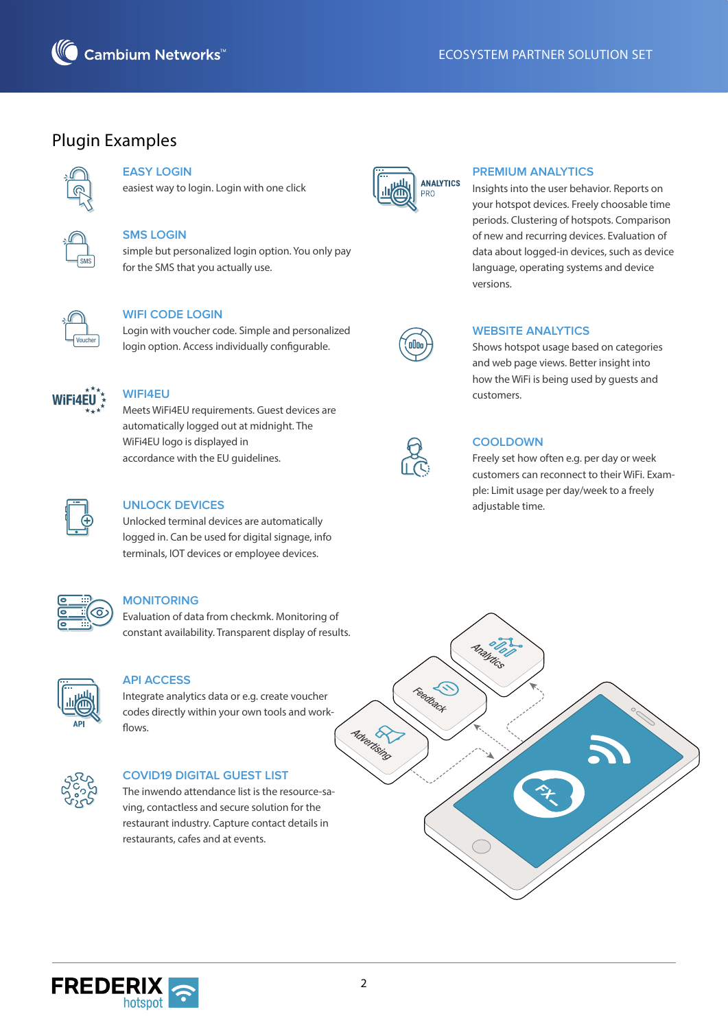

# Plugin Examples



## **EASY LOGIN**

easiest way to login. Login with one click



## **SMS LOGIN**

simple but personalized login option. You only pay for the SMS that you actually use.



### **WIFI CODE LOGIN**

Login with voucher code. Simple and personalized login option. Access individually configurable.



#### **WIFI4EU**

Meets WiFi4EU requirements. Guest devices are automatically logged out at midnight. The WiFi4EU logo is displayed in accordance with the EU guidelines.



#### **UNLOCK DEVICES**

Unlocked terminal devices are automatically logged in. Can be used for digital signage, info terminals, IOT devices or employee devices.



#### **MONITORING**

Evaluation of data from checkmk. Monitoring of constant availability. Transparent display of results.



#### **API ACCESS**

Integrate analytics data or e.g. create voucher codes directly within your own tools and work flows.



#### **COVID19 DIGITAL GUEST LIST**

The inwendo attendance list is the resource-saving, contactless and secure solution for the restaurant industry. Capture contact details in restaurants, cafes and at events.



#### **PREMIUM ANALYTICS**

Insights into the user behavior. Reports on your hotspot devices. Freely choosable time periods. Clustering of hotspots. Comparison of new and recurring devices. Evaluation of data about logged-in devices, such as device language, operating systems and device versions.



#### **WEBSITE ANALYTICS**

Shows hotspot usage based on categories and web page views. Better insight into how the WiFi is being used by guests and customers.



#### **COOLDOWN**

Freely set how often e.g. per day or week customers can reconnect to their WiFi. Example: Limit usage per day/week to a freely adjustable time.